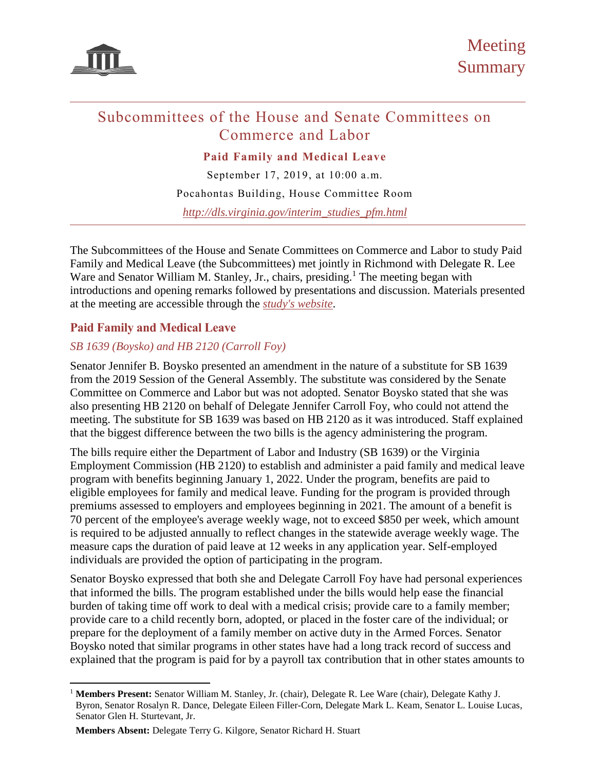

# Subcommittees of the House and Senate Committees on Commerce and Labor

**Paid Family and Medical Leave**

September 17, 2019, at 10:00 a.m. Pocahontas Building, House Committee Room *[http://dls.virginia.gov/interim\\_studies\\_pfm.html](http://dls.virginia.gov/interim_studies_pfm.html)*

The Subcommittees of the House and Senate Committees on Commerce and Labor to study Paid Family and Medical Leave (the Subcommittees) met jointly in Richmond with Delegate R. Lee Ware and Senator William M. Stanley, Jr., chairs, presiding.<sup>1</sup> The meeting began with introductions and opening remarks followed by presentations and discussion. Materials presented at the meeting are accessible through the *study's website*.

# **Paid Family and Medical Leave**

 $\overline{a}$ 

# *SB 1639 (Boysko) and HB 2120 (Carroll Foy)*

Senator Jennifer B. Boysko presented an amendment in the nature of a substitute for SB 1639 from the 2019 Session of the General Assembly. The substitute was considered by the Senate Committee on Commerce and Labor but was not adopted. Senator Boysko stated that she was also presenting HB 2120 on behalf of Delegate Jennifer Carroll Foy, who could not attend the meeting. The substitute for SB 1639 was based on HB 2120 as it was introduced. Staff explained that the biggest difference between the two bills is the agency administering the program.

The bills require either the Department of Labor and Industry (SB 1639) or the Virginia Employment Commission (HB 2120) to establish and administer a paid family and medical leave program with benefits beginning January 1, 2022. Under the program, benefits are paid to eligible employees for family and medical leave. Funding for the program is provided through premiums assessed to employers and employees beginning in 2021. The amount of a benefit is 70 percent of the employee's average weekly wage, not to exceed \$850 per week, which amount is required to be adjusted annually to reflect changes in the statewide average weekly wage. The measure caps the duration of paid leave at 12 weeks in any application year. Self-employed individuals are provided the option of participating in the program.

Senator Boysko expressed that both she and Delegate Carroll Foy have had personal experiences that informed the bills. The program established under the bills would help ease the financial burden of taking time off work to deal with a medical crisis; provide care to a family member; provide care to a child recently born, adopted, or placed in the foster care of the individual; or prepare for the deployment of a family member on active duty in the Armed Forces. Senator Boysko noted that similar programs in other states have had a long track record of success and explained that the program is paid for by a payroll tax contribution that in other states amounts to

<sup>1</sup> **Members Present:** Senator William M. Stanley, Jr. (chair), Delegate R. Lee Ware (chair), Delegate Kathy J. Byron, Senator Rosalyn R. Dance, Delegate Eileen Filler-Corn, Delegate Mark L. Keam, Senator L. Louise Lucas, Senator Glen H. Sturtevant, Jr.

**Members Absent:** Delegate Terry G. Kilgore, Senator Richard H. Stuart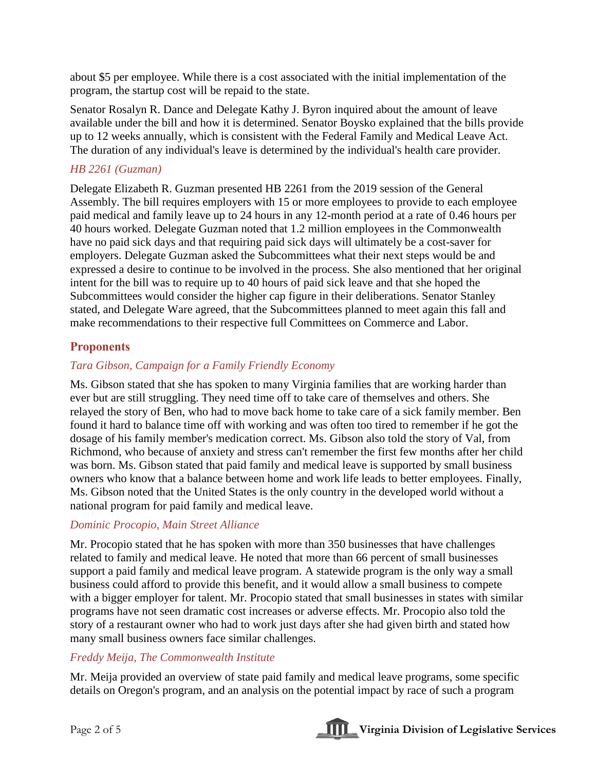about \$5 per employee. While there is a cost associated with the initial implementation of the program, the startup cost will be repaid to the state.

Senator Rosalyn R. Dance and Delegate Kathy J. Byron inquired about the amount of leave available under the bill and how it is determined. Senator Boysko explained that the bills provide up to 12 weeks annually, which is consistent with the Federal Family and Medical Leave Act. The duration of any individual's leave is determined by the individual's health care provider.

### *HB 2261 (Guzman)*

Delegate Elizabeth R. Guzman presented HB 2261 from the 2019 session of the General Assembly. The bill requires employers with 15 or more employees to provide to each employee paid medical and family leave up to 24 hours in any 12-month period at a rate of 0.46 hours per 40 hours worked. Delegate Guzman noted that 1.2 million employees in the Commonwealth have no paid sick days and that requiring paid sick days will ultimately be a cost-saver for employers. Delegate Guzman asked the Subcommittees what their next steps would be and expressed a desire to continue to be involved in the process. She also mentioned that her original intent for the bill was to require up to 40 hours of paid sick leave and that she hoped the Subcommittees would consider the higher cap figure in their deliberations. Senator Stanley stated, and Delegate Ware agreed, that the Subcommittees planned to meet again this fall and make recommendations to their respective full Committees on Commerce and Labor.

# **Proponents**

# *Tara Gibson, Campaign for a Family Friendly Economy*

Ms. Gibson stated that she has spoken to many Virginia families that are working harder than ever but are still struggling. They need time off to take care of themselves and others. She relayed the story of Ben, who had to move back home to take care of a sick family member. Ben found it hard to balance time off with working and was often too tired to remember if he got the dosage of his family member's medication correct. Ms. Gibson also told the story of Val, from Richmond, who because of anxiety and stress can't remember the first few months after her child was born. Ms. Gibson stated that paid family and medical leave is supported by small business owners who know that a balance between home and work life leads to better employees. Finally, Ms. Gibson noted that the United States is the only country in the developed world without a national program for paid family and medical leave.

#### *Dominic Procopio, Main Street Alliance*

Mr. Procopio stated that he has spoken with more than 350 businesses that have challenges related to family and medical leave. He noted that more than 66 percent of small businesses support a paid family and medical leave program. A statewide program is the only way a small business could afford to provide this benefit, and it would allow a small business to compete with a bigger employer for talent. Mr. Procopio stated that small businesses in states with similar programs have not seen dramatic cost increases or adverse effects. Mr. Procopio also told the story of a restaurant owner who had to work just days after she had given birth and stated how many small business owners face similar challenges.

#### *Freddy Meija, The Commonwealth Institute*

Mr. Meija provided an overview of state paid family and medical leave programs, some specific details on Oregon's program, and an analysis on the potential impact by race of such a program

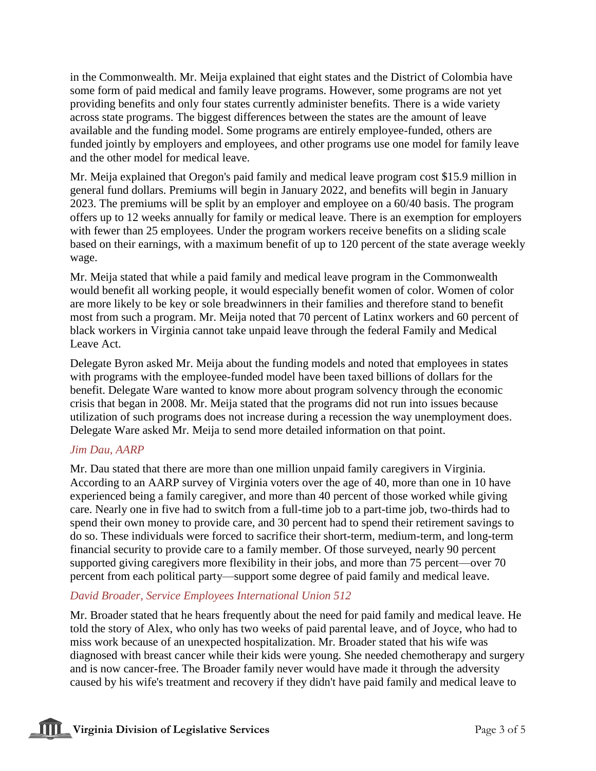in the Commonwealth. Mr. Meija explained that eight states and the District of Colombia have some form of paid medical and family leave programs. However, some programs are not yet providing benefits and only four states currently administer benefits. There is a wide variety across state programs. The biggest differences between the states are the amount of leave available and the funding model. Some programs are entirely employee-funded, others are funded jointly by employers and employees, and other programs use one model for family leave and the other model for medical leave.

Mr. Meija explained that Oregon's paid family and medical leave program cost \$15.9 million in general fund dollars. Premiums will begin in January 2022, and benefits will begin in January 2023. The premiums will be split by an employer and employee on a 60/40 basis. The program offers up to 12 weeks annually for family or medical leave. There is an exemption for employers with fewer than 25 employees. Under the program workers receive benefits on a sliding scale based on their earnings, with a maximum benefit of up to 120 percent of the state average weekly wage.

Mr. Meija stated that while a paid family and medical leave program in the Commonwealth would benefit all working people, it would especially benefit women of color. Women of color are more likely to be key or sole breadwinners in their families and therefore stand to benefit most from such a program. Mr. Meija noted that 70 percent of Latinx workers and 60 percent of black workers in Virginia cannot take unpaid leave through the federal Family and Medical Leave Act.

Delegate Byron asked Mr. Meija about the funding models and noted that employees in states with programs with the employee-funded model have been taxed billions of dollars for the benefit. Delegate Ware wanted to know more about program solvency through the economic crisis that began in 2008. Mr. Meija stated that the programs did not run into issues because utilization of such programs does not increase during a recession the way unemployment does. Delegate Ware asked Mr. Meija to send more detailed information on that point.

#### *Jim Dau, AARP*

Mr. Dau stated that there are more than one million unpaid family caregivers in Virginia. According to an AARP survey of Virginia voters over the age of 40, more than one in 10 have experienced being a family caregiver, and more than 40 percent of those worked while giving care. Nearly one in five had to switch from a full-time job to a part-time job, two-thirds had to spend their own money to provide care, and 30 percent had to spend their retirement savings to do so. These individuals were forced to sacrifice their short-term, medium-term, and long-term financial security to provide care to a family member. Of those surveyed, nearly 90 percent supported giving caregivers more flexibility in their jobs, and more than 75 percent—over 70 percent from each political party—support some degree of paid family and medical leave.

#### *David Broader, Service Employees International Union 512*

Mr. Broader stated that he hears frequently about the need for paid family and medical leave. He told the story of Alex, who only has two weeks of paid parental leave, and of Joyce, who had to miss work because of an unexpected hospitalization. Mr. Broader stated that his wife was diagnosed with breast cancer while their kids were young. She needed chemotherapy and surgery and is now cancer-free. The Broader family never would have made it through the adversity caused by his wife's treatment and recovery if they didn't have paid family and medical leave to

**THE** Virginia Division of Legislative Services Page 3 of 5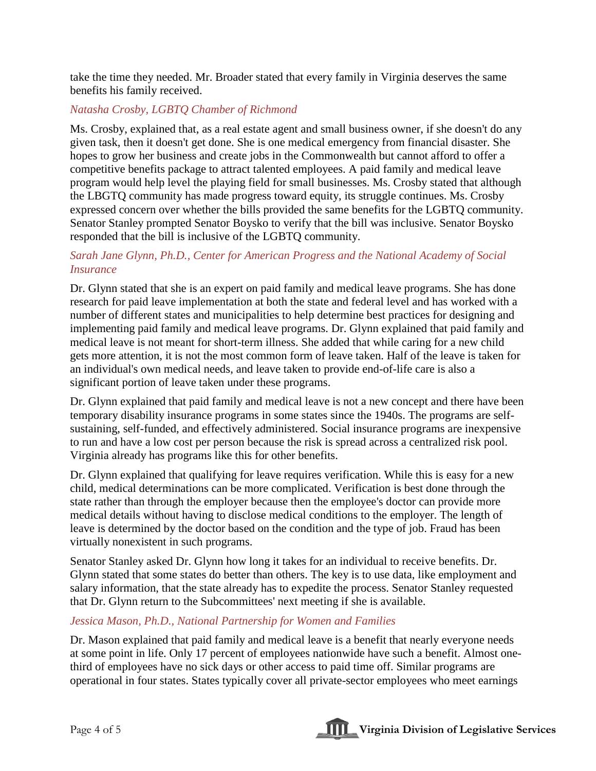take the time they needed. Mr. Broader stated that every family in Virginia deserves the same benefits his family received.

# *Natasha Crosby, LGBTQ Chamber of Richmond*

Ms. Crosby, explained that, as a real estate agent and small business owner, if she doesn't do any given task, then it doesn't get done. She is one medical emergency from financial disaster. She hopes to grow her business and create jobs in the Commonwealth but cannot afford to offer a competitive benefits package to attract talented employees. A paid family and medical leave program would help level the playing field for small businesses. Ms. Crosby stated that although the LBGTQ community has made progress toward equity, its struggle continues. Ms. Crosby expressed concern over whether the bills provided the same benefits for the LGBTQ community. Senator Stanley prompted Senator Boysko to verify that the bill was inclusive. Senator Boysko responded that the bill is inclusive of the LGBTQ community.

#### *Sarah Jane Glynn, Ph.D., Center for American Progress and the National Academy of Social Insurance*

Dr. Glynn stated that she is an expert on paid family and medical leave programs. She has done research for paid leave implementation at both the state and federal level and has worked with a number of different states and municipalities to help determine best practices for designing and implementing paid family and medical leave programs. Dr. Glynn explained that paid family and medical leave is not meant for short-term illness. She added that while caring for a new child gets more attention, it is not the most common form of leave taken. Half of the leave is taken for an individual's own medical needs, and leave taken to provide end-of-life care is also a significant portion of leave taken under these programs.

Dr. Glynn explained that paid family and medical leave is not a new concept and there have been temporary disability insurance programs in some states since the 1940s. The programs are selfsustaining, self-funded, and effectively administered. Social insurance programs are inexpensive to run and have a low cost per person because the risk is spread across a centralized risk pool. Virginia already has programs like this for other benefits.

Dr. Glynn explained that qualifying for leave requires verification. While this is easy for a new child, medical determinations can be more complicated. Verification is best done through the state rather than through the employer because then the employee's doctor can provide more medical details without having to disclose medical conditions to the employer. The length of leave is determined by the doctor based on the condition and the type of job. Fraud has been virtually nonexistent in such programs.

Senator Stanley asked Dr. Glynn how long it takes for an individual to receive benefits. Dr. Glynn stated that some states do better than others. The key is to use data, like employment and salary information, that the state already has to expedite the process. Senator Stanley requested that Dr. Glynn return to the Subcommittees' next meeting if she is available.

#### *Jessica Mason, Ph.D., National Partnership for Women and Families*

Dr. Mason explained that paid family and medical leave is a benefit that nearly everyone needs at some point in life. Only 17 percent of employees nationwide have such a benefit. Almost onethird of employees have no sick days or other access to paid time off. Similar programs are operational in four states. States typically cover all private-sector employees who meet earnings